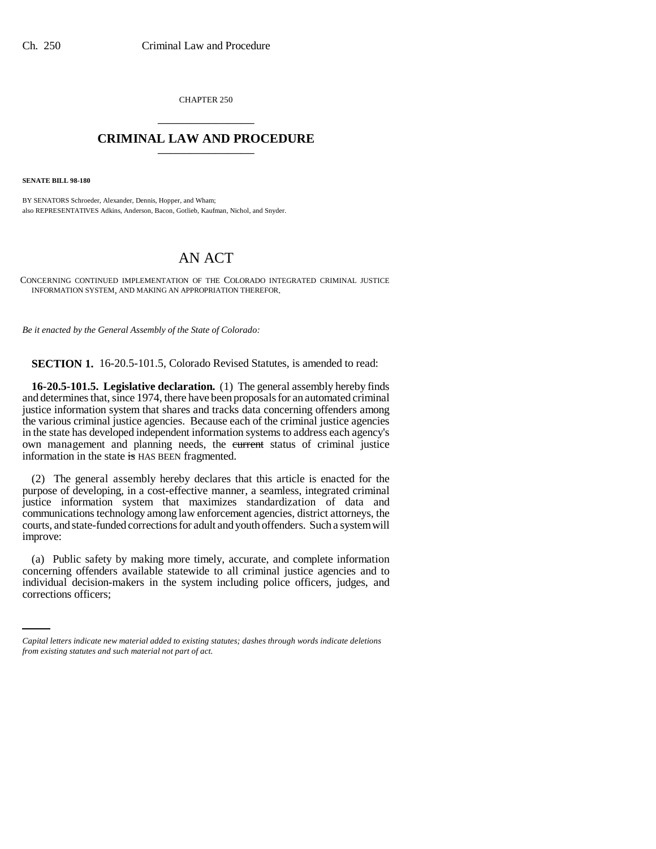CHAPTER 250 \_\_\_\_\_\_\_\_\_\_\_\_\_\_\_

## **CRIMINAL LAW AND PROCEDURE** \_\_\_\_\_\_\_\_\_\_\_\_\_\_\_

**SENATE BILL 98-180**

BY SENATORS Schroeder, Alexander, Dennis, Hopper, and Wham; also REPRESENTATIVES Adkins, Anderson, Bacon, Gotlieb, Kaufman, Nichol, and Snyder.

## AN ACT

CONCERNING CONTINUED IMPLEMENTATION OF THE COLORADO INTEGRATED CRIMINAL JUSTICE INFORMATION SYSTEM, AND MAKING AN APPROPRIATION THEREFOR.

*Be it enacted by the General Assembly of the State of Colorado:*

**SECTION 1.** 16-20.5-101.5, Colorado Revised Statutes, is amended to read:

**16-20.5-101.5. Legislative declaration.** (1) The general assembly hereby finds and determines that, since 1974, there have been proposals for an automated criminal justice information system that shares and tracks data concerning offenders among the various criminal justice agencies. Because each of the criminal justice agencies in the state has developed independent information systems to address each agency's own management and planning needs, the eurrent status of criminal justice information in the state is HAS BEEN fragmented.

(2) The general assembly hereby declares that this article is enacted for the purpose of developing, in a cost-effective manner, a seamless, integrated criminal justice information system that maximizes standardization of data and communications technology among law enforcement agencies, district attorneys, the courts, and state-funded corrections for adult and youth offenders. Such a system will improve:

concerning offenders available statewide to all criminal justice agencies and to (a) Public safety by making more timely, accurate, and complete information individual decision-makers in the system including police officers, judges, and corrections officers;

*Capital letters indicate new material added to existing statutes; dashes through words indicate deletions from existing statutes and such material not part of act.*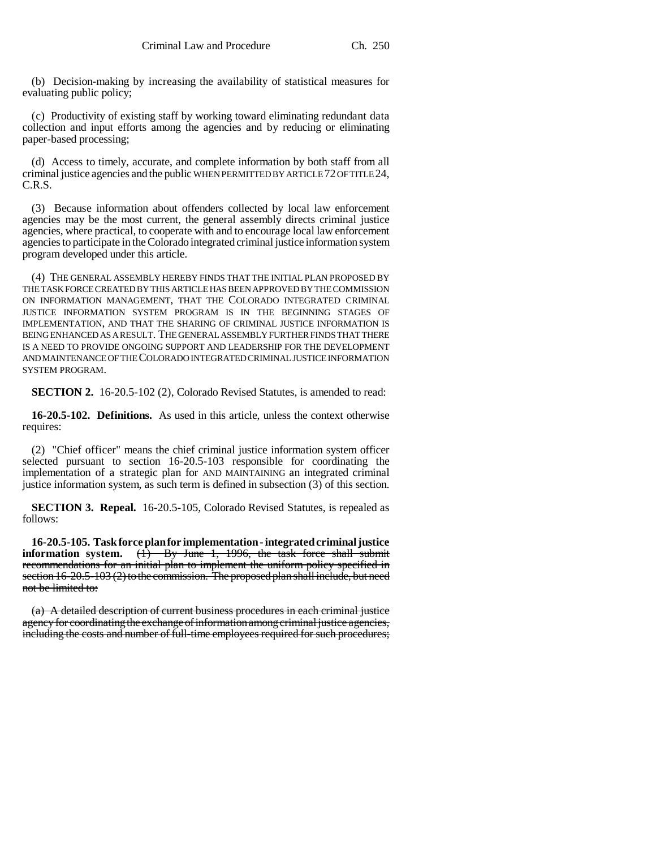(b) Decision-making by increasing the availability of statistical measures for evaluating public policy;

(c) Productivity of existing staff by working toward eliminating redundant data collection and input efforts among the agencies and by reducing or eliminating paper-based processing;

(d) Access to timely, accurate, and complete information by both staff from all criminal justice agencies and the public WHEN PERMITTED BY ARTICLE 72 OF TITLE 24, C.R.S.

(3) Because information about offenders collected by local law enforcement agencies may be the most current, the general assembly directs criminal justice agencies, where practical, to cooperate with and to encourage local law enforcement agencies to participate in the Colorado integrated criminal justice information system program developed under this article.

(4) THE GENERAL ASSEMBLY HEREBY FINDS THAT THE INITIAL PLAN PROPOSED BY THE TASK FORCE CREATED BY THIS ARTICLE HAS BEEN APPROVED BY THE COMMISSION ON INFORMATION MANAGEMENT, THAT THE COLORADO INTEGRATED CRIMINAL JUSTICE INFORMATION SYSTEM PROGRAM IS IN THE BEGINNING STAGES OF IMPLEMENTATION, AND THAT THE SHARING OF CRIMINAL JUSTICE INFORMATION IS BEING ENHANCED AS A RESULT. THE GENERAL ASSEMBLY FURTHER FINDS THAT THERE IS A NEED TO PROVIDE ONGOING SUPPORT AND LEADERSHIP FOR THE DEVELOPMENT AND MAINTENANCE OF THE COLORADO INTEGRATED CRIMINAL JUSTICE INFORMATION SYSTEM PROGRAM.

**SECTION 2.** 16-20.5-102 (2), Colorado Revised Statutes, is amended to read:

**16-20.5-102. Definitions.** As used in this article, unless the context otherwise requires:

(2) "Chief officer" means the chief criminal justice information system officer selected pursuant to section 16-20.5-103 responsible for coordinating the implementation of a strategic plan for AND MAINTAINING an integrated criminal justice information system, as such term is defined in subsection (3) of this section.

**SECTION 3. Repeal.** 16-20.5-105, Colorado Revised Statutes, is repealed as follows:

**16-20.5-105. Task force plan for implementation - integrated criminal justice information system.** (1) By June 1, 1996, the task force shall submit recommendations for an initial plan to implement the uniform policy specified in section 16-20.5-103 (2) to the commission. The proposed plan shall include, but need not be limited to:

(a) A detailed description of current business procedures in each criminal justice agency for coordinating the exchange of information among criminal justice agencies, including the costs and number of full-time employees required for such procedures;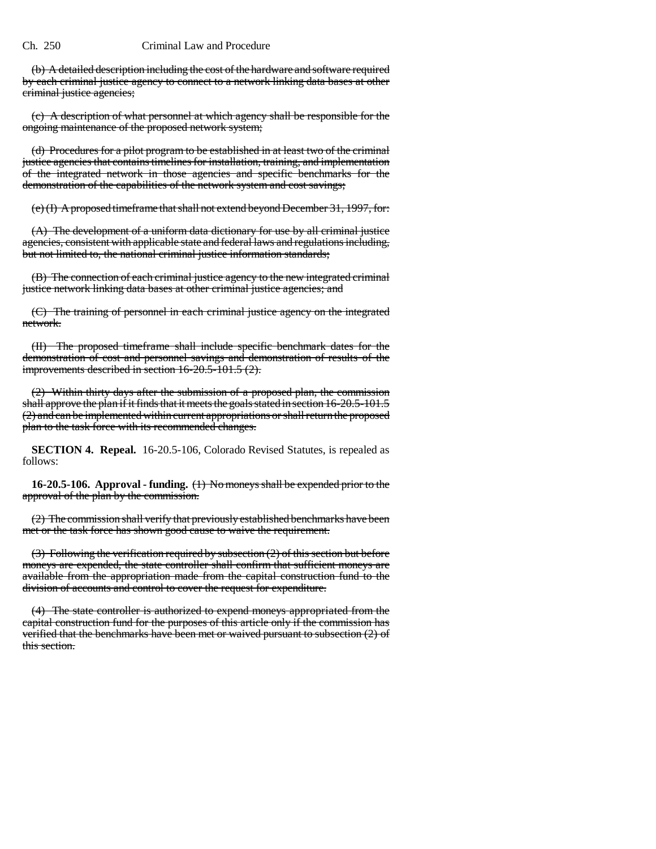## Ch. 250 Criminal Law and Procedure

(b) A detailed description including the cost of the hardware and software required by each criminal justice agency to connect to a network linking data bases at other criminal justice agencies;

(c) A description of what personnel at which agency shall be responsible for the ongoing maintenance of the proposed network system;

(d) Procedures for a pilot program to be established in at least two of the criminal justice agencies that contains timelines for installation, training, and implementation of the integrated network in those agencies and specific benchmarks for the demonstration of the capabilities of the network system and cost savings;

(e) (I) A proposed timeframe that shall not extend beyond December 31, 1997, for:

(A) The development of a uniform data dictionary for use by all criminal justice agencies, consistent with applicable state and federal laws and regulations including, but not limited to, the national criminal justice information standards;

(B) The connection of each criminal justice agency to the new integrated criminal justice network linking data bases at other criminal justice agencies; and

(C) The training of personnel in each criminal justice agency on the integrated network.

(II) The proposed timeframe shall include specific benchmark dates for the demonstration of cost and personnel savings and demonstration of results of the improvements described in section 16-20.5-101.5 (2).

(2) Within thirty days after the submission of a proposed plan, the commission shall approve the plan if it finds that it meets the goals stated in section 16-20.5-101.5 (2) and can be implemented within current appropriations or shall return the proposed plan to the task force with its recommended changes.

**SECTION 4. Repeal.** 16-20.5-106, Colorado Revised Statutes, is repealed as follows:

**16-20.5-106. Approval - funding.** (1) No moneys shall be expended prior to the approval of the plan by the commission.

(2) The commission shall verify that previously established benchmarks have been met or the task force has shown good cause to waive the requirement.

(3) Following the verification required by subsection (2) of this section but before moneys are expended, the state controller shall confirm that sufficient moneys are available from the appropriation made from the capital construction fund to the division of accounts and control to cover the request for expenditure.

(4) The state controller is authorized to expend moneys appropriated from the capital construction fund for the purposes of this article only if the commission has verified that the benchmarks have been met or waived pursuant to subsection (2) of this section.